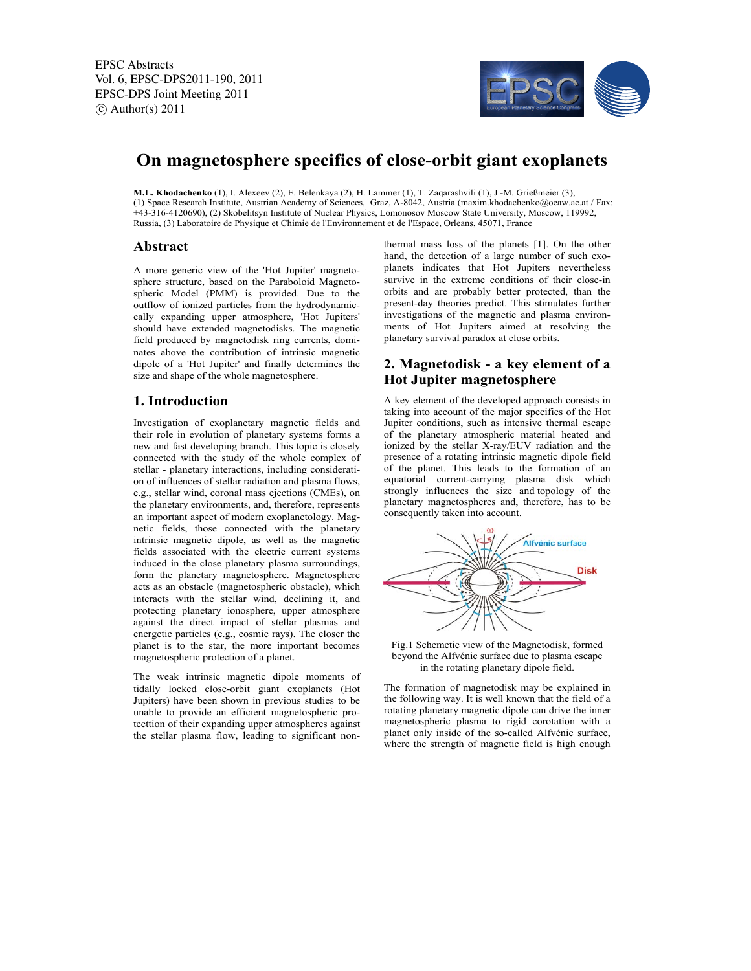EPSC Abstracts Vol. 6, EPSC-DPS2011-190, 2011 EPSC-DPS Joint Meeting 2011  $\circ$  Author(s) 2011



# **On magnetosphere specifics of close-orbit giant exoplanets**

**M.L. Khodachenko** (1), I. Alexeev (2), E. Belenkaya (2), H. Lammer (1), T. Zaqarashvili (1), J.-M. Grießmeier (3), (1) Space Research Institute, Austrian Academy of Sciences, Graz, A-8042, Austria (maxim.khodachenko@oeaw.ac.at / Fax: +43-316-4120690), (2) Skobelitsyn Institute of Nuclear Physics, Lomonosov Moscow State University, Moscow, 119992, Russia, (3) Laboratoire de Physique et Chimie de l'Environnement et de l'Espace, Orleans, 45071, France

### **Abstract**

A more generic view of the 'Hot Jupiter' magnetosphere structure, based on the Paraboloid Magnetospheric Model (PMM) is provided. Due to the outflow of ionized particles from the hydrodynamiccally expanding upper atmosphere, 'Hot Jupiters' should have extended magnetodisks. The magnetic field produced by magnetodisk ring currents, dominates above the contribution of intrinsic magnetic dipole of a 'Hot Jupiter' and finally determines the size and shape of the whole magnetosphere.

### **1. Introduction**

Investigation of exoplanetary magnetic fields and their role in evolution of planetary systems forms a new and fast developing branch. This topic is closely connected with the study of the whole complex of stellar - planetary interactions, including consideration of influences of stellar radiation and plasma flows, e.g., stellar wind, coronal mass ejections (CMEs), on the planetary environments, and, therefore, represents an important aspect of modern exoplanetology. Magnetic fields, those connected with the planetary intrinsic magnetic dipole, as well as the magnetic fields associated with the electric current systems induced in the close planetary plasma surroundings, form the planetary magnetosphere. Magnetosphere acts as an obstacle (magnetospheric obstacle), which interacts with the stellar wind, declining it, and protecting planetary ionosphere, upper atmosphere against the direct impact of stellar plasmas and energetic particles (e.g., cosmic rays). The closer the planet is to the star, the more important becomes magnetospheric protection of a planet.

The weak intrinsic magnetic dipole moments of tidally locked close-orbit giant exoplanets (Hot Jupiters) have been shown in previous studies to be unable to provide an efficient magnetospheric protecttion of their expanding upper atmospheres against the stellar plasma flow, leading to significant nonthermal mass loss of the planets [1]. On the other hand, the detection of a large number of such exoplanets indicates that Hot Jupiters nevertheless survive in the extreme conditions of their close-in orbits and are probably better protected, than the present-day theories predict. This stimulates further investigations of the magnetic and plasma environments of Hot Jupiters aimed at resolving the planetary survival paradox at close orbits.

### **2. Magnetodisk - a key element of a Hot Jupiter magnetosphere**

A key element of the developed approach consists in taking into account of the major specifics of the Hot Jupiter conditions, such as intensive thermal escape of the planetary atmospheric material heated and ionized by the stellar X-ray/EUV radiation and the presence of a rotating intrinsic magnetic dipole field of the planet. This leads to the formation of an equatorial current-carrying plasma disk which strongly influences the size and topology of the planetary magnetospheres and, therefore, has to be consequently taken into account.



Fig.1 Schemetic view of the Magnetodisk, formed beyond the Alfvénic surface due to plasma escape in the rotating planetary dipole field.

The formation of magnetodisk may be explained in the following way. It is well known that the field of a rotating planetary magnetic dipole can drive the inner magnetospheric plasma to rigid corotation with a planet only inside of the so-called Alfvénic surface, where the strength of magnetic field is high enough